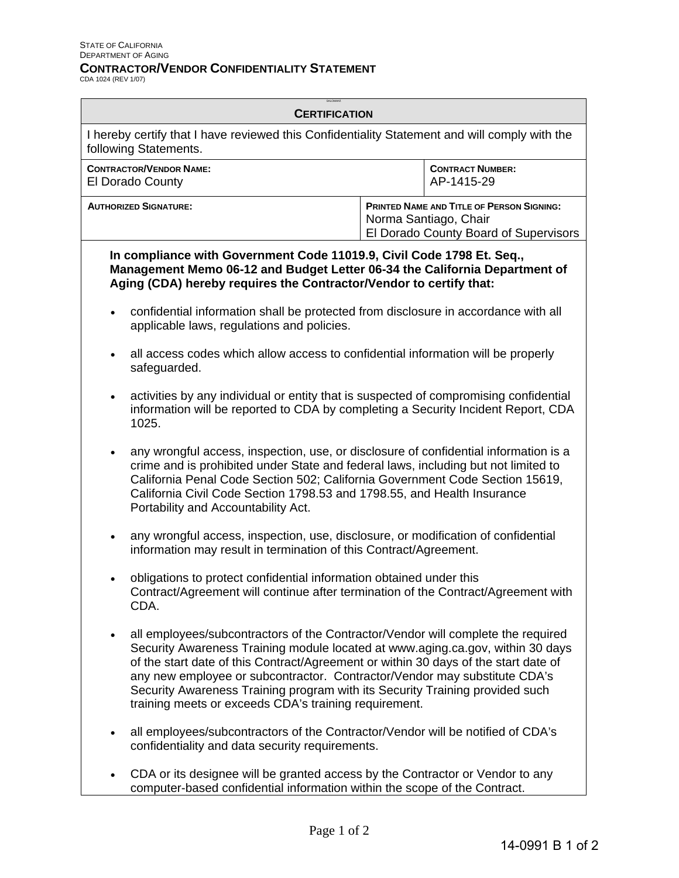## **CONTRACTOR/VENDOR CONFIDENTIALITY STATEMENT**

CDA 1024 (REV 1/07)

| <b>CERTIFICATION</b>                                      |                                                                                                                                                                                                                                                                                                                                                                                                                                                                                 |                                                                                                                    |                                       |
|-----------------------------------------------------------|---------------------------------------------------------------------------------------------------------------------------------------------------------------------------------------------------------------------------------------------------------------------------------------------------------------------------------------------------------------------------------------------------------------------------------------------------------------------------------|--------------------------------------------------------------------------------------------------------------------|---------------------------------------|
|                                                           | I hereby certify that I have reviewed this Confidentiality Statement and will comply with the<br>following Statements.                                                                                                                                                                                                                                                                                                                                                          |                                                                                                                    |                                       |
| <b>CONTRACTOR/VENDOR NAME:</b><br><b>El Dorado County</b> |                                                                                                                                                                                                                                                                                                                                                                                                                                                                                 |                                                                                                                    | <b>CONTRACT NUMBER:</b><br>AP-1415-29 |
| <b>AUTHORIZED SIGNATURE:</b>                              |                                                                                                                                                                                                                                                                                                                                                                                                                                                                                 | <b>PRINTED NAME AND TITLE OF PERSON SIGNING:</b><br>Norma Santiago, Chair<br>El Dorado County Board of Supervisors |                                       |
|                                                           | In compliance with Government Code 11019.9, Civil Code 1798 Et. Seq.,<br>Management Memo 06-12 and Budget Letter 06-34 the California Department of<br>Aging (CDA) hereby requires the Contractor/Vendor to certify that:                                                                                                                                                                                                                                                       |                                                                                                                    |                                       |
|                                                           | confidential information shall be protected from disclosure in accordance with all<br>applicable laws, regulations and policies.                                                                                                                                                                                                                                                                                                                                                |                                                                                                                    |                                       |
|                                                           | all access codes which allow access to confidential information will be properly<br>safeguarded.                                                                                                                                                                                                                                                                                                                                                                                |                                                                                                                    |                                       |
|                                                           | activities by any individual or entity that is suspected of compromising confidential<br>information will be reported to CDA by completing a Security Incident Report, CDA<br>1025.                                                                                                                                                                                                                                                                                             |                                                                                                                    |                                       |
| $\bullet$                                                 | any wrongful access, inspection, use, or disclosure of confidential information is a<br>crime and is prohibited under State and federal laws, including but not limited to<br>California Penal Code Section 502; California Government Code Section 15619,<br>California Civil Code Section 1798.53 and 1798.55, and Health Insurance<br>Portability and Accountability Act.                                                                                                    |                                                                                                                    |                                       |
|                                                           | any wrongful access, inspection, use, disclosure, or modification of confidential<br>information may result in termination of this Contract/Agreement.                                                                                                                                                                                                                                                                                                                          |                                                                                                                    |                                       |
|                                                           | obligations to protect confidential information obtained under this<br>Contract/Agreement will continue after termination of the Contract/Agreement with<br>CDA.                                                                                                                                                                                                                                                                                                                |                                                                                                                    |                                       |
|                                                           | all employees/subcontractors of the Contractor/Vendor will complete the required<br>Security Awareness Training module located at www.aging.ca.gov, within 30 days<br>of the start date of this Contract/Agreement or within 30 days of the start date of<br>any new employee or subcontractor. Contractor/Vendor may substitute CDA's<br>Security Awareness Training program with its Security Training provided such<br>training meets or exceeds CDA's training requirement. |                                                                                                                    |                                       |
|                                                           | all employees/subcontractors of the Contractor/Vendor will be notified of CDA's<br>confidentiality and data security requirements.                                                                                                                                                                                                                                                                                                                                              |                                                                                                                    |                                       |
|                                                           | CDA or its designee will be granted access by the Contractor or Vendor to any                                                                                                                                                                                                                                                                                                                                                                                                   |                                                                                                                    |                                       |

computer-based confidential information within the scope of the Contract.